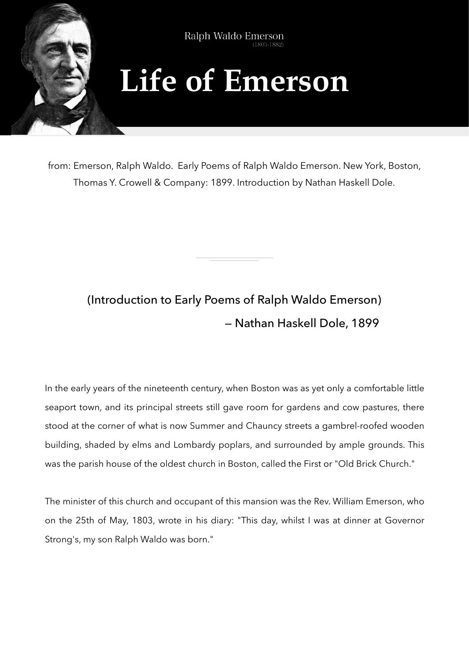

from: Emerson, Ralph Waldo. Early Poems of Ralph Waldo Emerson. New York, Boston, Thomas Y. Crowell & Company: 1899. Introduction by Nathan Haskell Dole.

## (Introduction to Early Poems of Ralph Waldo Emerson) — Nathan Haskell Dole, 1899

In the early years of the nineteenth century, when Boston was as yet only a comfortable little seaport town, and its principal streets still gave room for gardens and cow pastures, there stood at the corner of what is now Summer and Chauncy streets a gambrel-roofed wooden building, shaded by elms and Lombardy poplars, and surrounded by ample grounds. This was the parish house of the oldest church in Boston, called the First or "Old Brick Church."

The minister of this church and occupant of this mansion was the Rev. William Emerson, who on the 25th of May, 1803, wrote in his diary: "This day, whilst I was at dinner at Governor Strong's, my son Ralph Waldo was born."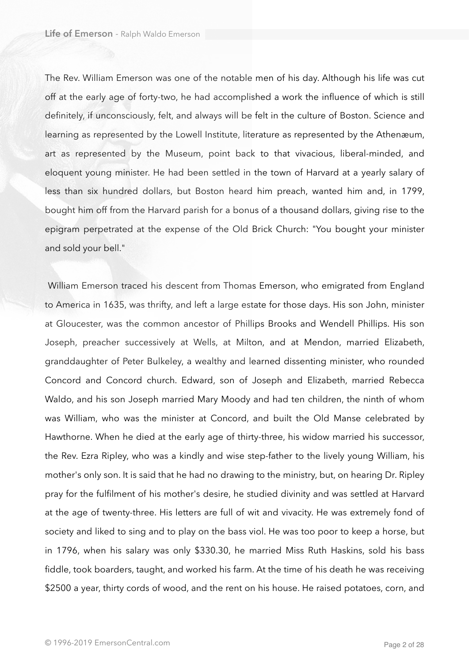The Rev. William Emerson was one of the notable men of his day. Although his life was cut off at the early age of forty-two, he had accomplished a work the influence of which is still definitely, if unconsciously, felt, and always will be felt in the culture of Boston. Science and learning as represented by the Lowell Institute, literature as represented by the Athenæum, art as represented by the Museum, point back to that vivacious, liberal-minded, and eloquent young minister. He had been settled in the town of Harvard at a yearly salary of less than six hundred dollars, but Boston heard him preach, wanted him and, in 1799, bought him off from the Harvard parish for a bonus of a thousand dollars, giving rise to the epigram perpetrated at the expense of the Old Brick Church: "You bought your minister and sold your bell."

 William Emerson traced his descent from Thomas Emerson, who emigrated from England to America in 1635, was thrifty, and left a large estate for those days. His son John, minister at Gloucester, was the common ancestor of Phillips Brooks and Wendell Phillips. His son Joseph, preacher successively at Wells, at Milton, and at Mendon, married Elizabeth, granddaughter of Peter Bulkeley, a wealthy and learned dissenting minister, who rounded Concord and Concord church. Edward, son of Joseph and Elizabeth, married Rebecca Waldo, and his son Joseph married Mary Moody and had ten children, the ninth of whom was William, who was the minister at Concord, and built the Old Manse celebrated by Hawthorne. When he died at the early age of thirty-three, his widow married his successor, the Rev. Ezra Ripley, who was a kindly and wise step-father to the lively young William, his mother's only son. It is said that he had no drawing to the ministry, but, on hearing Dr. Ripley pray for the fulfilment of his mother's desire, he studied divinity and was settled at Harvard at the age of twenty-three. His letters are full of wit and vivacity. He was extremely fond of society and liked to sing and to play on the bass viol. He was too poor to keep a horse, but in 1796, when his salary was only \$330.30, he married Miss Ruth Haskins, sold his bass fiddle, took boarders, taught, and worked his farm. At the time of his death he was receiving \$2500 a year, thirty cords of wood, and the rent on his house. He raised potatoes, corn, and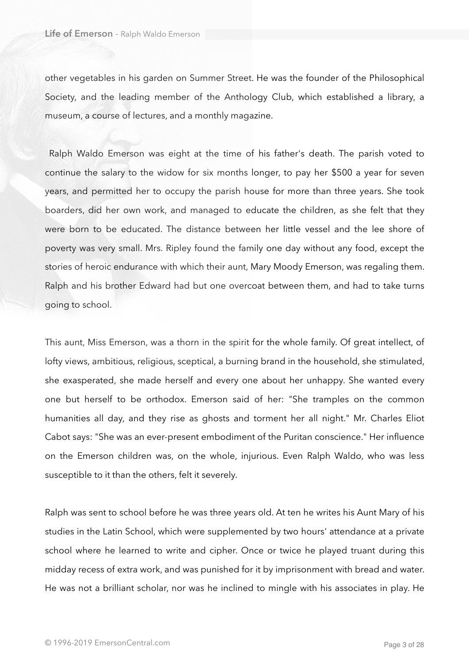other vegetables in his garden on Summer Street. He was the founder of the Philosophical Society, and the leading member of the Anthology Club, which established a library, a museum, a course of lectures, and a monthly magazine.

 Ralph Waldo Emerson was eight at the time of his father's death. The parish voted to continue the salary to the widow for six months longer, to pay her \$500 a year for seven years, and permitted her to occupy the parish house for more than three years. She took boarders, did her own work, and managed to educate the children, as she felt that they were born to be educated. The distance between her little vessel and the lee shore of poverty was very small. Mrs. Ripley found the family one day without any food, except the stories of heroic endurance with which their aunt, Mary Moody Emerson, was regaling them. Ralph and his brother Edward had but one overcoat between them, and had to take turns going to school.

This aunt, Miss Emerson, was a thorn in the spirit for the whole family. Of great intellect, of lofty views, ambitious, religious, sceptical, a burning brand in the household, she stimulated, she exasperated, she made herself and every one about her unhappy. She wanted every one but herself to be orthodox. Emerson said of her: "She tramples on the common humanities all day, and they rise as ghosts and torment her all night." Mr. Charles Eliot Cabot says: "She was an ever-present embodiment of the Puritan conscience." Her influence on the Emerson children was, on the whole, injurious. Even Ralph Waldo, who was less susceptible to it than the others, felt it severely.

Ralph was sent to school before he was three years old. At ten he writes his Aunt Mary of his studies in the Latin School, which were supplemented by two hours' attendance at a private school where he learned to write and cipher. Once or twice he played truant during this midday recess of extra work, and was punished for it by imprisonment with bread and water. He was not a brilliant scholar, nor was he inclined to mingle with his associates in play. He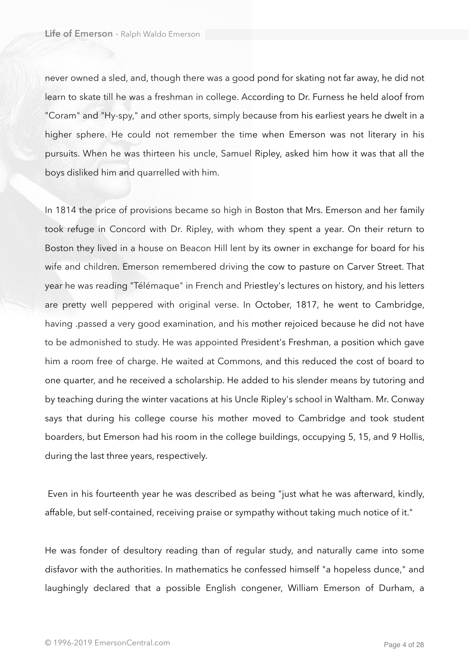never owned a sled, and, though there was a good pond for skating not far away, he did not learn to skate till he was a freshman in college. According to Dr. Furness he held aloof from "Coram" and "Hy-spy," and other sports, simply because from his earliest years he dwelt in a higher sphere. He could not remember the time when Emerson was not literary in his pursuits. When he was thirteen his uncle, Samuel Ripley, asked him how it was that all the boys disliked him and quarrelled with him.

In 1814 the price of provisions became so high in Boston that Mrs. Emerson and her family took refuge in Concord with Dr. Ripley, with whom they spent a year. On their return to Boston they lived in a house on Beacon Hill lent by its owner in exchange for board for his wife and children. Emerson remembered driving the cow to pasture on Carver Street. That year he was reading "Télémaque" in French and Priestley's lectures on history, and his letters are pretty well peppered with original verse. In October, 1817, he went to Cambridge, having .passed a very good examination, and his mother rejoiced because he did not have to be admonished to study. He was appointed President's Freshman, a position which gave him a room free of charge. He waited at Commons, and this reduced the cost of board to one quarter, and he received a scholarship. He added to his slender means by tutoring and by teaching during the winter vacations at his Uncle Ripley's school in Waltham. Mr. Conway says that during his college course his mother moved to Cambridge and took student boarders, but Emerson had his room in the college buildings, occupying 5, 15, and 9 Hollis, during the last three years, respectively.

 Even in his fourteenth year he was described as being "just what he was afterward, kindly, affable, but self-contained, receiving praise or sympathy without taking much notice of it."

He was fonder of desultory reading than of regular study, and naturally came into some disfavor with the authorities. In mathematics he confessed himself "a hopeless dunce," and laughingly declared that a possible English congener, William Emerson of Durham, a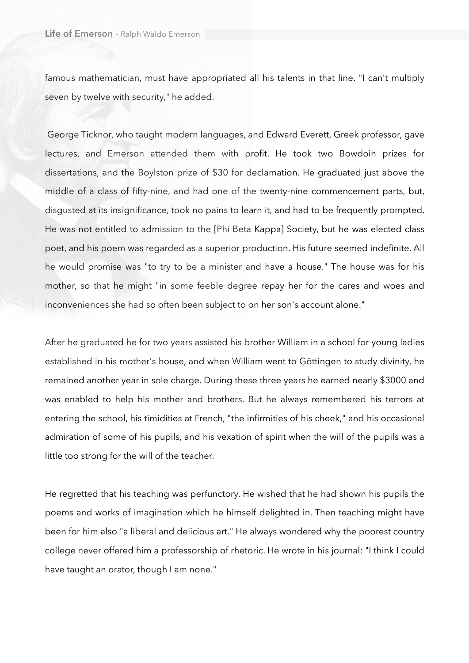famous mathematician, must have appropriated all his talents in that line. "I can't multiply seven by twelve with security," he added.

 George Ticknor, who taught modern languages, and Edward Everett, Greek professor, gave lectures, and Emerson attended them with profit. He took two Bowdoin prizes for dissertations, and the Boylston prize of \$30 for declamation. He graduated just above the middle of a class of fifty-nine, and had one of the twenty-nine commencement parts, but, disgusted at its insignificance, took no pains to learn it, and had to be frequently prompted. He was not entitled to admission to the [Phi Beta Kappa] Society, but he was elected class poet, and his poem was regarded as a superior production. His future seemed indefinite. All he would promise was "to try to be a minister and have a house." The house was for his mother, so that he might "in some feeble degree repay her for the cares and woes and inconveniences she had so often been subject to on her son's account alone."

After he graduated he for two years assisted his brother William in a school for young ladies established in his mother's house, and when William went to Göttingen to study divinity, he remained another year in sole charge. During these three years he earned nearly \$3000 and was enabled to help his mother and brothers. But he always remembered his terrors at entering the school, his timidities at French, "the infirmities of his cheek," and his occasional admiration of some of his pupils, and his vexation of spirit when the will of the pupils was a little too strong for the will of the teacher.

He regretted that his teaching was perfunctory. He wished that he had shown his pupils the poems and works of imagination which he himself delighted in. Then teaching might have been for him also "a liberal and delicious art." He always wondered why the poorest country college never offered him a professorship of rhetoric. He wrote in his journal: "I think I could have taught an orator, though I am none."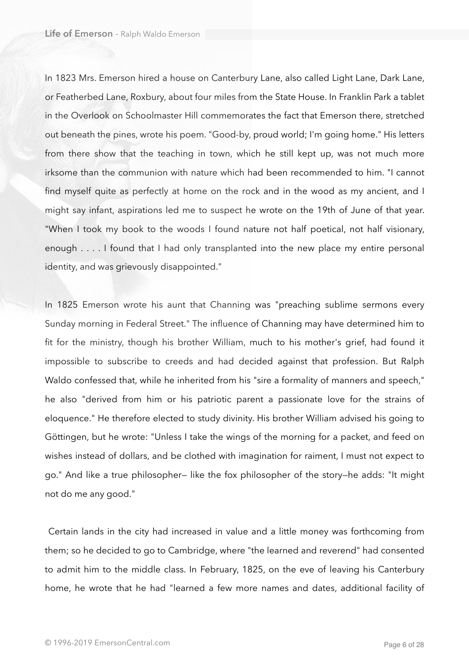In 1823 Mrs. Emerson hired a house on Canterbury Lane, also called Light Lane, Dark Lane, or Featherbed Lane, Roxbury, about four miles from the State House. In Franklin Park a tablet in the Overlook on Schoolmaster Hill commemorates the fact that Emerson there, stretched out beneath the pines, wrote his poem. "Good-by, proud world; I'm going home." His letters from there show that the teaching in town, which he still kept up, was not much more irksome than the communion with nature which had been recommended to him. "I cannot find myself quite as perfectly at home on the rock and in the wood as my ancient, and I might say infant, aspirations led me to suspect he wrote on the 19th of June of that year. "When I took my book to the woods I found nature not half poetical, not half visionary, enough . . . . I found that I had only transplanted into the new place my entire personal identity, and was grievously disappointed."

In 1825 Emerson wrote his aunt that Channing was "preaching sublime sermons every Sunday morning in Federal Street." The influence of Channing may have determined him to fit for the ministry, though his brother William, much to his mother's grief, had found it impossible to subscribe to creeds and had decided against that profession. But Ralph Waldo confessed that, while he inherited from his "sire a formality of manners and speech," he also "derived from him or his patriotic parent a passionate love for the strains of eloquence." He therefore elected to study divinity. His brother William advised his going to Göttingen, but he wrote: "Unless I take the wings of the morning for a packet, and feed on wishes instead of dollars, and be clothed with imagination for raiment, I must not expect to go." And like a true philosopher— like the fox philosopher of the story—he adds: "It might not do me any good."

 Certain lands in the city had increased in value and a little money was forthcoming from them; so he decided to go to Cambridge, where "the learned and reverend" had consented to admit him to the middle class. In February, 1825, on the eve of leaving his Canterbury home, he wrote that he had "learned a few more names and dates, additional facility of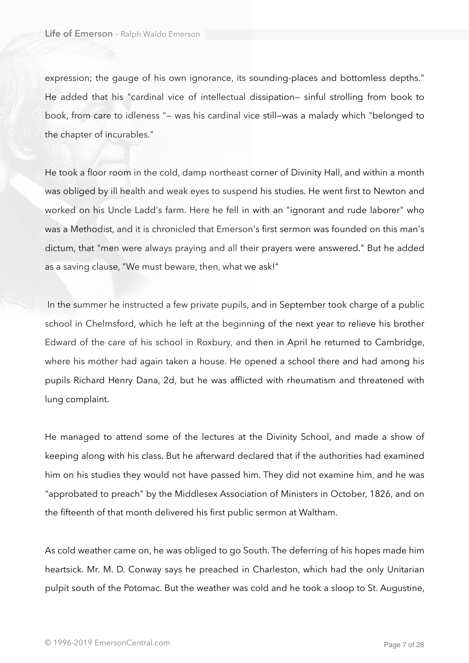expression; the gauge of his own ignorance, its sounding-places and bottomless depths." He added that his "cardinal vice of intellectual dissipation— sinful strolling from book to book, from care to idleness "— was his cardinal vice still—was a malady which "belonged to the chapter of incurables."

He took a floor room in the cold, damp northeast corner of Divinity Hall, and within a month was obliged by ill health and weak eyes to suspend his studies. He went first to Newton and worked on his Uncle Ladd's farm. Here he fell in with an "ignorant and rude laborer" who was a Methodist, and it is chronicled that Emerson's first sermon was founded on this man's dictum, that "men were always praying and all their prayers were answered." But he added as a saving clause, "We must beware, then, what we ask!"

 In the summer he instructed a few private pupils, and in September took charge of a public school in Chelmsford, which he left at the beginning of the next year to relieve his brother Edward of the care of his school in Roxbury, and then in April he returned to Cambridge, where his mother had again taken a house. He opened a school there and had among his pupils Richard Henry Dana, 2d, but he was afflicted with rheumatism and threatened with lung complaint.

He managed to attend some of the lectures at the Divinity School, and made a show of keeping along with his class. But he afterward declared that if the authorities had examined him on his studies they would not have passed him. They did not examine him, and he was "approbated to preach" by the Middlesex Association of Ministers in October, 1826, and on the fifteenth of that month delivered his first public sermon at Waltham.

As cold weather came on, he was obliged to go South. The deferring of his hopes made him heartsick. Mr. M. D. Conway says he preached in Charleston, which had the only Unitarian pulpit south of the Potomac. But the weather was cold and he took a sloop to St. Augustine,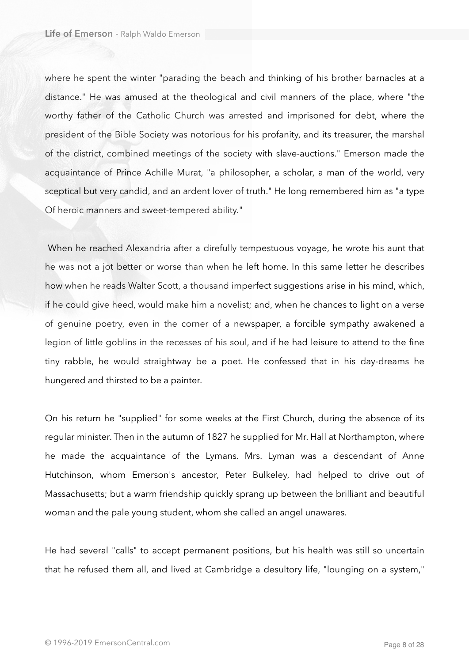where he spent the winter "parading the beach and thinking of his brother barnacles at a distance." He was amused at the theological and civil manners of the place, where "the worthy father of the Catholic Church was arrested and imprisoned for debt, where the president of the Bible Society was notorious for his profanity, and its treasurer, the marshal of the district, combined meetings of the society with slave-auctions." Emerson made the acquaintance of Prince Achille Murat, "a philosopher, a scholar, a man of the world, very sceptical but very candid, and an ardent lover of truth." He long remembered him as "a type Of heroic manners and sweet-tempered ability."

 When he reached Alexandria after a direfully tempestuous voyage, he wrote his aunt that he was not a jot better or worse than when he left home. In this same letter he describes how when he reads Walter Scott, a thousand imperfect suggestions arise in his mind, which, if he could give heed, would make him a novelist; and, when he chances to light on a verse of genuine poetry, even in the corner of a newspaper, a forcible sympathy awakened a legion of little goblins in the recesses of his soul, and if he had leisure to attend to the fine tiny rabble, he would straightway be a poet. He confessed that in his day-dreams he hungered and thirsted to be a painter.

On his return he "supplied" for some weeks at the First Church, during the absence of its regular minister. Then in the autumn of 1827 he supplied for Mr. Hall at Northampton, where he made the acquaintance of the Lymans. Mrs. Lyman was a descendant of Anne Hutchinson, whom Emerson's ancestor, Peter Bulkeley, had helped to drive out of Massachusetts; but a warm friendship quickly sprang up between the brilliant and beautiful woman and the pale young student, whom she called an angel unawares.

He had several "calls" to accept permanent positions, but his health was still so uncertain that he refused them all, and lived at Cambridge a desultory life, "lounging on a system,"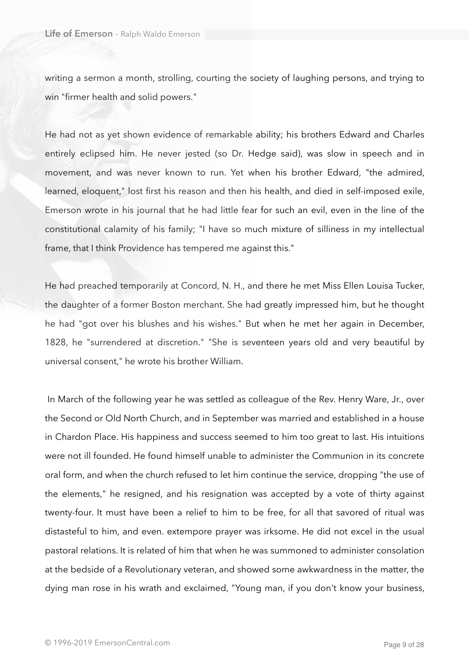writing a sermon a month, strolling, courting the society of laughing persons, and trying to win "firmer health and solid powers."

He had not as yet shown evidence of remarkable ability; his brothers Edward and Charles entirely eclipsed him. He never jested (so Dr. Hedge said), was slow in speech and in movement, and was never known to run. Yet when his brother Edward, "the admired, learned, eloquent," lost first his reason and then his health, and died in self-imposed exile, Emerson wrote in his journal that he had little fear for such an evil, even in the line of the constitutional calamity of his family; "I have so much mixture of silliness in my intellectual frame, that I think Providence has tempered me against this."

He had preached temporarily at Concord, N. H., and there he met Miss Ellen Louisa Tucker, the daughter of a former Boston merchant. She had greatly impressed him, but he thought he had "got over his blushes and his wishes." But when he met her again in December, 1828, he "surrendered at discretion." "She is seventeen years old and very beautiful by universal consent," he wrote his brother William.

 In March of the following year he was settled as colleague of the Rev. Henry Ware, Jr., over the Second or Old North Church, and in September was married and established in a house in Chardon Place. His happiness and success seemed to him too great to last. His intuitions were not ill founded. He found himself unable to administer the Communion in its concrete oral form, and when the church refused to let him continue the service, dropping "the use of the elements," he resigned, and his resignation was accepted by a vote of thirty against twenty-four. It must have been a relief to him to be free, for all that savored of ritual was distasteful to him, and even. extempore prayer was irksome. He did not excel in the usual pastoral relations. It is related of him that when he was summoned to administer consolation at the bedside of a Revolutionary veteran, and showed some awkwardness in the matter, the dying man rose in his wrath and exclaimed, "Young man, if you don't know your business,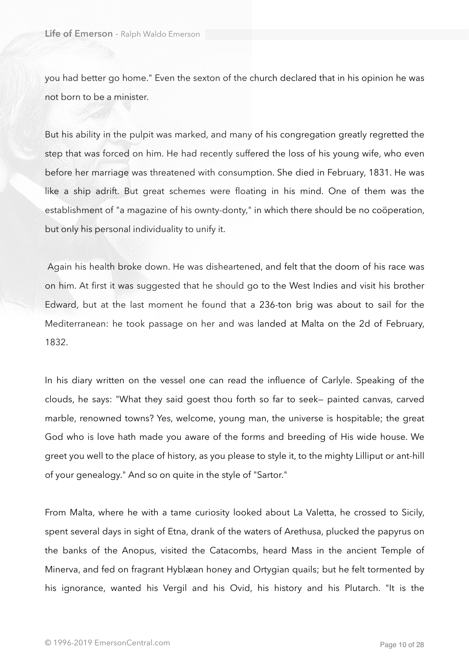you had better go home." Even the sexton of the church declared that in his opinion he was not born to be a minister.

But his ability in the pulpit was marked, and many of his congregation greatly regretted the step that was forced on him. He had recently suffered the loss of his young wife, who even before her marriage was threatened with consumption. She died in February, 1831. He was like a ship adrift. But great schemes were floating in his mind. One of them was the establishment of "a magazine of his ownty-donty," in which there should be no coöperation, but only his personal individuality to unify it.

 Again his health broke down. He was disheartened, and felt that the doom of his race was on him. At first it was suggested that he should go to the West Indies and visit his brother Edward, but at the last moment he found that a 236-ton brig was about to sail for the Mediterranean: he took passage on her and was landed at Malta on the 2d of February, 1832.

In his diary written on the vessel one can read the influence of Carlyle. Speaking of the clouds, he says: "What they said goest thou forth so far to seek— painted canvas, carved marble, renowned towns? Yes, welcome, young man, the universe is hospitable; the great God who is love hath made you aware of the forms and breeding of His wide house. We greet you well to the place of history, as you please to style it, to the mighty Lilliput or ant-hill of your genealogy." And so on quite in the style of "Sartor."

From Malta, where he with a tame curiosity looked about La Valetta, he crossed to Sicily, spent several days in sight of Etna, drank of the waters of Arethusa, plucked the papyrus on the banks of the Anopus, visited the Catacombs, heard Mass in the ancient Temple of Minerva, and fed on fragrant Hyblæan honey and Ortygian quails; but he felt tormented by his ignorance, wanted his Vergil and his Ovid, his history and his Plutarch. "It is the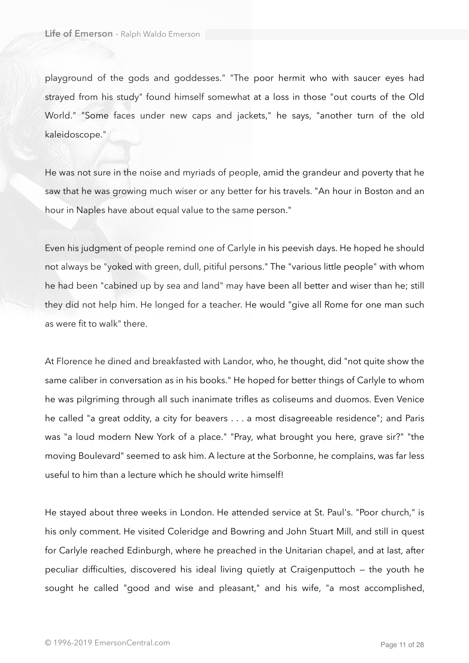playground of the gods and goddesses." "The poor hermit who with saucer eyes had strayed from his study" found himself somewhat at a loss in those "out courts of the Old World." "Some faces under new caps and jackets," he says, "another turn of the old kaleidoscope."

He was not sure in the noise and myriads of people, amid the grandeur and poverty that he saw that he was growing much wiser or any better for his travels. "An hour in Boston and an hour in Naples have about equal value to the same person."

Even his judgment of people remind one of Carlyle in his peevish days. He hoped he should not always be "yoked with green, dull, pitiful persons." The "various little people" with whom he had been "cabined up by sea and land" may have been all better and wiser than he; still they did not help him. He longed for a teacher. He would "give all Rome for one man such as were fit to walk" there.

At Florence he dined and breakfasted with Landor, who, he thought, did "not quite show the same caliber in conversation as in his books." He hoped for better things of Carlyle to whom he was pilgriming through all such inanimate trifles as coliseums and duomos. Even Venice he called "a great oddity, a city for beavers . . . a most disagreeable residence"; and Paris was "a loud modern New York of a place." "Pray, what brought you here, grave sir?" "the moving Boulevard" seemed to ask him. A lecture at the Sorbonne, he complains, was far less useful to him than a lecture which he should write himself!

He stayed about three weeks in London. He attended service at St. Paul's. "Poor church," is his only comment. He visited Coleridge and Bowring and John Stuart Mill, and still in quest for Carlyle reached Edinburgh, where he preached in the Unitarian chapel, and at last, after peculiar difficulties, discovered his ideal living quietly at Craigenputtoch — the youth he sought he called "good and wise and pleasant," and his wife, "a most accomplished,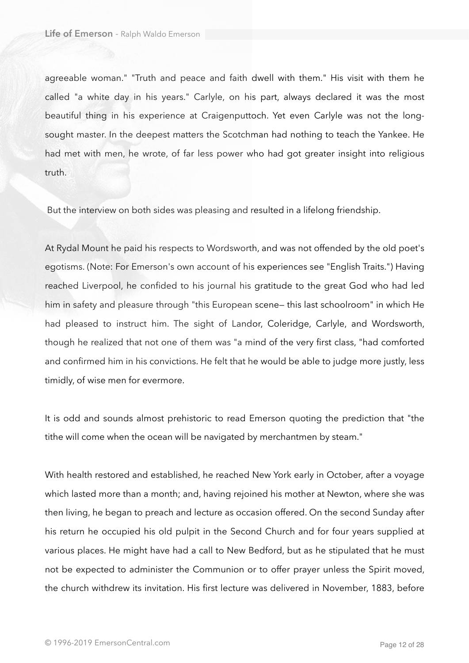agreeable woman." "Truth and peace and faith dwell with them." His visit with them he called "a white day in his years." Carlyle, on his part, always declared it was the most beautiful thing in his experience at Craigenputtoch. Yet even Carlyle was not the longsought master. In the deepest matters the Scotchman had nothing to teach the Yankee. He had met with men, he wrote, of far less power who had got greater insight into religious truth.

But the interview on both sides was pleasing and resulted in a lifelong friendship.

At Rydal Mount he paid his respects to Wordsworth, and was not offended by the old poet's egotisms. (Note: For Emerson's own account of his experiences see "English Traits.") Having reached Liverpool, he confided to his journal his gratitude to the great God who had led him in safety and pleasure through "this European scene— this last schoolroom" in which He had pleased to instruct him. The sight of Landor, Coleridge, Carlyle, and Wordsworth, though he realized that not one of them was "a mind of the very first class, "had comforted and confirmed him in his convictions. He felt that he would be able to judge more justly, less timidly, of wise men for evermore.

It is odd and sounds almost prehistoric to read Emerson quoting the prediction that "the tithe will come when the ocean will be navigated by merchantmen by steam."

With health restored and established, he reached New York early in October, after a voyage which lasted more than a month; and, having rejoined his mother at Newton, where she was then living, he began to preach and lecture as occasion offered. On the second Sunday after his return he occupied his old pulpit in the Second Church and for four years supplied at various places. He might have had a call to New Bedford, but as he stipulated that he must not be expected to administer the Communion or to offer prayer unless the Spirit moved, the church withdrew its invitation. His first lecture was delivered in November, 1883, before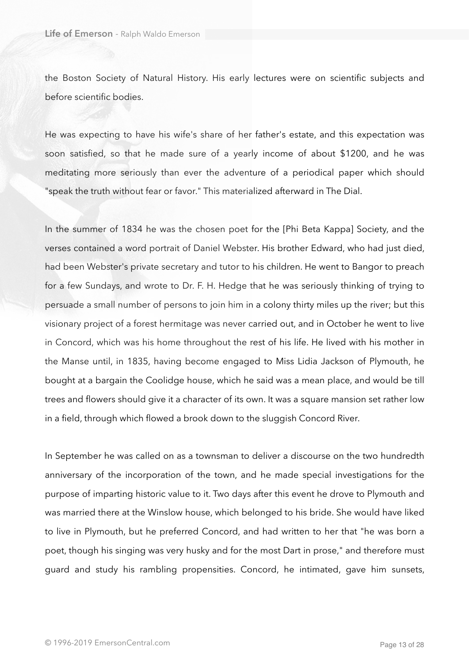the Boston Society of Natural History. His early lectures were on scientific subjects and before scientific bodies.

He was expecting to have his wife's share of her father's estate, and this expectation was soon satisfied, so that he made sure of a yearly income of about \$1200, and he was meditating more seriously than ever the adventure of a periodical paper which should "speak the truth without fear or favor." This materialized afterward in The Dial.

In the summer of 1834 he was the chosen poet for the [Phi Beta Kappa] Society, and the verses contained a word portrait of Daniel Webster. His brother Edward, who had just died, had been Webster's private secretary and tutor to his children. He went to Bangor to preach for a few Sundays, and wrote to Dr. F. H. Hedge that he was seriously thinking of trying to persuade a small number of persons to join him in a colony thirty miles up the river; but this visionary project of a forest hermitage was never carried out, and in October he went to live in Concord, which was his home throughout the rest of his life. He lived with his mother in the Manse until, in 1835, having become engaged to Miss Lidia Jackson of Plymouth, he bought at a bargain the Coolidge house, which he said was a mean place, and would be till trees and flowers should give it a character of its own. It was a square mansion set rather low in a field, through which flowed a brook down to the sluggish Concord River.

In September he was called on as a townsman to deliver a discourse on the two hundredth anniversary of the incorporation of the town, and he made special investigations for the purpose of imparting historic value to it. Two days after this event he drove to Plymouth and was married there at the Winslow house, which belonged to his bride. She would have liked to live in Plymouth, but he preferred Concord, and had written to her that "he was born a poet, though his singing was very husky and for the most Dart in prose," and therefore must guard and study his rambling propensities. Concord, he intimated, gave him sunsets,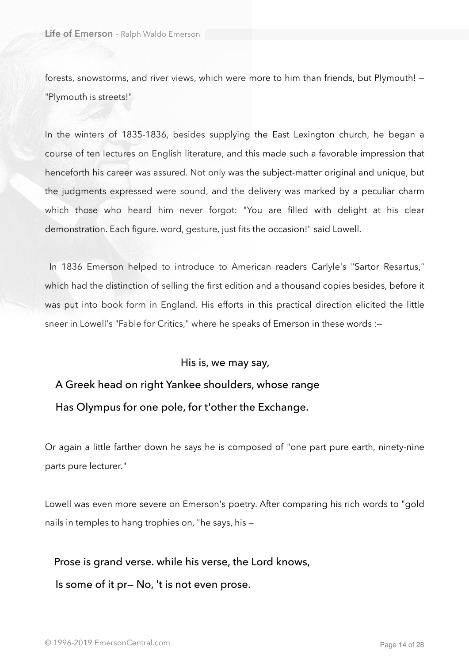forests, snowstorms, and river views, which were more to him than friends, but Plymouth! — "Plymouth is streets!"

In the winters of 1835-1836, besides supplying the East Lexington church, he began a course of ten lectures on English literature, and this made such a favorable impression that henceforth his career was assured. Not only was the subject-matter original and unique, but the judgments expressed were sound, and the delivery was marked by a peculiar charm which those who heard him never forgot: "You are filled with delight at his clear demonstration. Each figure. word, gesture, just fits the occasion!" said Lowell.

 In 1836 Emerson helped to introduce to American readers Carlyle's "Sartor Resartus," which had the distinction of selling the first edition and a thousand copies besides, before it was put into book form in England. His efforts in this practical direction elicited the little sneer in Lowell's "Fable for Critics," where he speaks of Emerson in these words :—

His is, we may say,

 A Greek head on right Yankee shoulders, whose range Has Olympus for one pole, for t'other the Exchange.

Or again a little farther down he says he is composed of "one part pure earth, ninety-nine parts pure lecturer."

Lowell was even more severe on Emerson's poetry. After comparing his rich words to "gold nails in temples to hang trophies on, "he says, his —

Prose is grand verse. while his verse, the Lord knows,

Is some of it pr— No, 't is not even prose.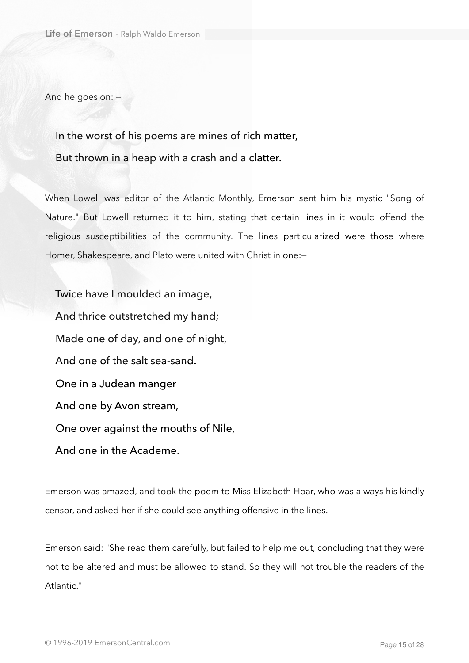And he goes on: —

## In the worst of his poems are mines of rich matter, But thrown in a heap with a crash and a clatter.

When Lowell was editor of the Atlantic Monthly, Emerson sent him his mystic "Song of Nature." But Lowell returned it to him, stating that certain lines in it would offend the religious susceptibilities of the community. The lines particularized were those where Homer, Shakespeare, and Plato were united with Christ in one:—

 Twice have I moulded an image, And thrice outstretched my hand; Made one of day, and one of night, And one of the salt sea-sand. One in a Judean manger And one by Avon stream, One over against the mouths of Nile, And one in the Academe.

Emerson was amazed, and took the poem to Miss Elizabeth Hoar, who was always his kindly censor, and asked her if she could see anything offensive in the lines.

Emerson said: "She read them carefully, but failed to help me out, concluding that they were not to be altered and must be allowed to stand. So they will not trouble the readers of the Atlantic."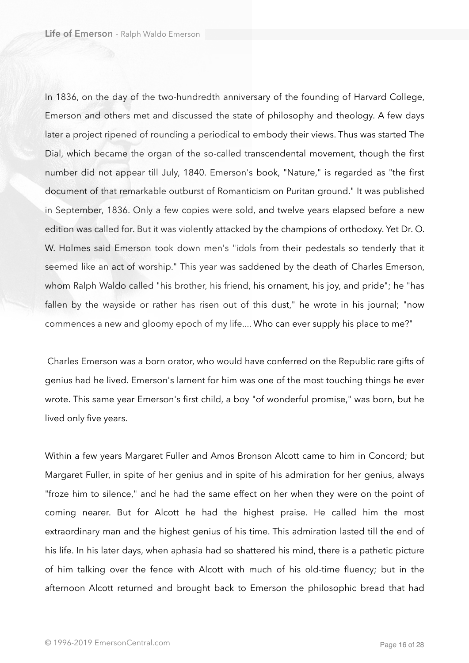In 1836, on the day of the two-hundredth anniversary of the founding of Harvard College, Emerson and others met and discussed the state of philosophy and theology. A few days later a project ripened of rounding a periodical to embody their views. Thus was started The Dial, which became the organ of the so-called transcendental movement, though the first number did not appear till July, 1840. Emerson's book, "Nature," is regarded as "the first document of that remarkable outburst of Romanticism on Puritan ground." It was published in September, 1836. Only a few copies were sold, and twelve years elapsed before a new edition was called for. But it was violently attacked by the champions of orthodoxy. Yet Dr. O. W. Holmes said Emerson took down men's "idols from their pedestals so tenderly that it seemed like an act of worship." This year was saddened by the death of Charles Emerson, whom Ralph Waldo called "his brother, his friend, his ornament, his joy, and pride"; he "has fallen by the wayside or rather has risen out of this dust," he wrote in his journal; "now commences a new and gloomy epoch of my life.... Who can ever supply his place to me?"

 Charles Emerson was a born orator, who would have conferred on the Republic rare gifts of genius had he lived. Emerson's lament for him was one of the most touching things he ever wrote. This same year Emerson's first child, a boy "of wonderful promise," was born, but he lived only five years.

Within a few years Margaret Fuller and Amos Bronson Alcott came to him in Concord; but Margaret Fuller, in spite of her genius and in spite of his admiration for her genius, always "froze him to silence," and he had the same effect on her when they were on the point of coming nearer. But for Alcott he had the highest praise. He called him the most extraordinary man and the highest genius of his time. This admiration lasted till the end of his life. In his later days, when aphasia had so shattered his mind, there is a pathetic picture of him talking over the fence with Alcott with much of his old-time fluency; but in the afternoon Alcott returned and brought back to Emerson the philosophic bread that had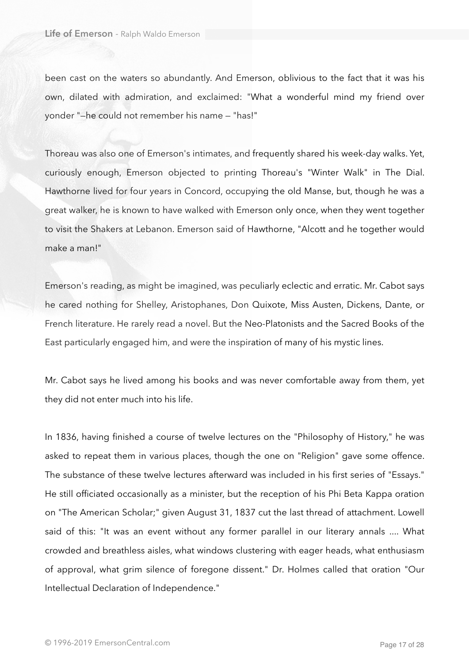been cast on the waters so abundantly. And Emerson, oblivious to the fact that it was his own, dilated with admiration, and exclaimed: "What a wonderful mind my friend over yonder "—he could not remember his name — "has!"

Thoreau was also one of Emerson's intimates, and frequently shared his week-day walks. Yet, curiously enough, Emerson objected to printing Thoreau's "Winter Walk" in The Dial. Hawthorne lived for four years in Concord, occupying the old Manse, but, though he was a great walker, he is known to have walked with Emerson only once, when they went together to visit the Shakers at Lebanon. Emerson said of Hawthorne, "Alcott and he together would make a man!"

Emerson's reading, as might be imagined, was peculiarly eclectic and erratic. Mr. Cabot says he cared nothing for Shelley, Aristophanes, Don Quixote, Miss Austen, Dickens, Dante, or French literature. He rarely read a novel. But the Neo-Platonists and the Sacred Books of the East particularly engaged him, and were the inspiration of many of his mystic lines.

Mr. Cabot says he lived among his books and was never comfortable away from them, yet they did not enter much into his life.

In 1836, having finished a course of twelve lectures on the "Philosophy of History," he was asked to repeat them in various places, though the one on "Religion" gave some offence. The substance of these twelve lectures afterward was included in his first series of "Essays." He still officiated occasionally as a minister, but the reception of his Phi Beta Kappa oration on "The American Scholar;" given August 31, 1837 cut the last thread of attachment. Lowell said of this: "It was an event without any former parallel in our literary annals .... What crowded and breathless aisles, what windows clustering with eager heads, what enthusiasm of approval, what grim silence of foregone dissent." Dr. Holmes called that oration "Our Intellectual Declaration of Independence."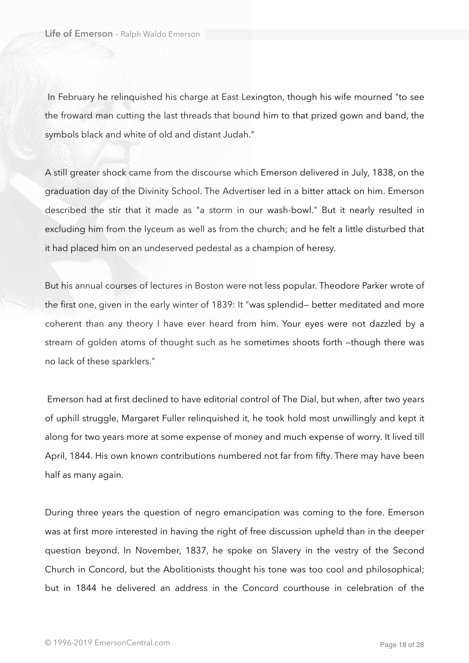In February he relinquished his charge at East Lexington, though his wife mourned "to see the froward man cutting the last threads that bound him to that prized gown and band, the symbols black and white of old and distant Judah."

A still greater shock came from the discourse which Emerson delivered in July, 1838, on the graduation day of the Divinity School. The Advertiser led in a bitter attack on him. Emerson described the stir that it made as "a storm in our wash-bowl." But it nearly resulted in excluding him from the lyceum as well as from the church; and he felt a little disturbed that it had placed him on an undeserved pedestal as a champion of heresy.

But his annual courses of lectures in Boston were not less popular. Theodore Parker wrote of the first one, given in the early winter of 1839: It "was splendid— better meditated and more coherent than any theory I have ever heard from him. Your eyes were not dazzled by a stream of golden atoms of thought such as he sometimes shoots forth —though there was no lack of these sparklers."

 Emerson had at first declined to have editorial control of The Dial, but when, after two years of uphill struggle, Margaret Fuller relinquished it, he took hold most unwillingly and kept it along for two years more at some expense of money and much expense of worry. It lived till April, 1844. His own known contributions numbered not far from fifty. There may have been half as many again.

During three years the question of negro emancipation was coming to the fore. Emerson was at first more interested in having the right of free discussion upheld than in the deeper question beyond. In November, 1837, he spoke on Slavery in the vestry of the Second Church in Concord, but the Abolitionists thought his tone was too cool and philosophical; but in 1844 he delivered an address in the Concord courthouse in celebration of the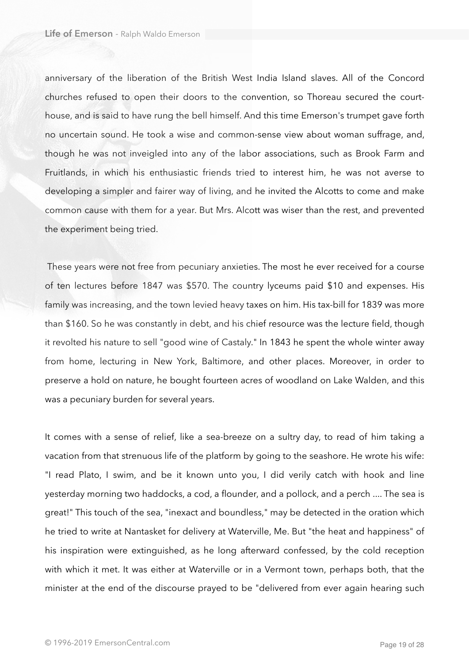anniversary of the liberation of the British West India Island slaves. All of the Concord churches refused to open their doors to the convention, so Thoreau secured the courthouse, and is said to have rung the bell himself. And this time Emerson's trumpet gave forth no uncertain sound. He took a wise and common-sense view about woman suffrage, and, though he was not inveigled into any of the labor associations, such as Brook Farm and Fruitlands, in which his enthusiastic friends tried to interest him, he was not averse to developing a simpler and fairer way of living, and he invited the Alcotts to come and make common cause with them for a year. But Mrs. Alcott was wiser than the rest, and prevented the experiment being tried.

 These years were not free from pecuniary anxieties. The most he ever received for a course of ten lectures before 1847 was \$570. The country lyceums paid \$10 and expenses. His family was increasing, and the town levied heavy taxes on him. His tax-bill for 1839 was more than \$160. So he was constantly in debt, and his chief resource was the lecture field, though it revolted his nature to sell "good wine of Castaly." In 1843 he spent the whole winter away from home, lecturing in New York, Baltimore, and other places. Moreover, in order to preserve a hold on nature, he bought fourteen acres of woodland on Lake Walden, and this was a pecuniary burden for several years.

It comes with a sense of relief, like a sea-breeze on a sultry day, to read of him taking a vacation from that strenuous life of the platform by going to the seashore. He wrote his wife: "I read Plato, I swim, and be it known unto you, I did verily catch with hook and line yesterday morning two haddocks, a cod, a flounder, and a pollock, and a perch .... The sea is great!" This touch of the sea, "inexact and boundless," may be detected in the oration which he tried to write at Nantasket for delivery at Waterville, Me. But "the heat and happiness" of his inspiration were extinguished, as he long afterward confessed, by the cold reception with which it met. It was either at Waterville or in a Vermont town, perhaps both, that the minister at the end of the discourse prayed to be "delivered from ever again hearing such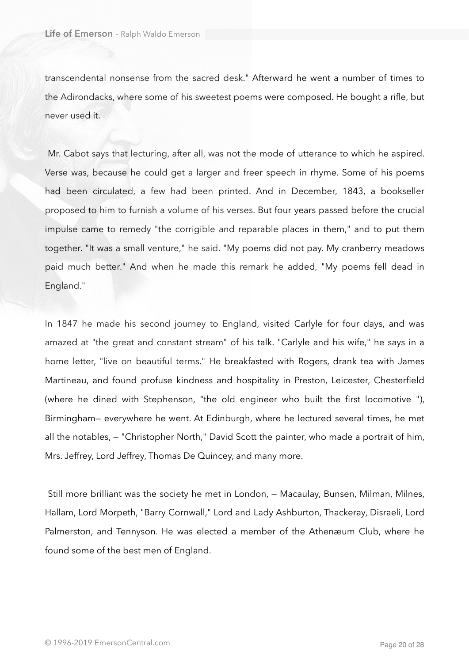transcendental nonsense from the sacred desk." Afterward he went a number of times to the Adirondacks, where some of his sweetest poems were composed. He bought a rifle, but never used it.

 Mr. Cabot says that lecturing, after all, was not the mode of utterance to which he aspired. Verse was, because he could get a larger and freer speech in rhyme. Some of his poems had been circulated, a few had been printed. And in December, 1843, a bookseller proposed to him to furnish a volume of his verses. But four years passed before the crucial impulse came to remedy "the corrigible and reparable places in them," and to put them together. "It was a small venture," he said. "My poems did not pay. My cranberry meadows paid much better." And when he made this remark he added, "My poems fell dead in England."

In 1847 he made his second journey to England, visited Carlyle for four days, and was amazed at "the great and constant stream" of his talk. "Carlyle and his wife," he says in a home letter, "live on beautiful terms." He breakfasted with Rogers, drank tea with James Martineau, and found profuse kindness and hospitality in Preston, Leicester, Chesterfield (where he dined with Stephenson, "the old engineer who built the first locomotive "), Birmingham— everywhere he went. At Edinburgh, where he lectured several times, he met all the notables, — "Christopher North," David Scott the painter, who made a portrait of him, Mrs. Jeffrey, Lord Jeffrey, Thomas De Quincey, and many more.

 Still more brilliant was the society he met in London, — Macaulay, Bunsen, Milman, Milnes, Hallam, Lord Morpeth, "Barry Cornwall," Lord and Lady Ashburton, Thackeray, Disraeli, Lord Palmerston, and Tennyson. He was elected a member of the Athenæum Club, where he found some of the best men of England.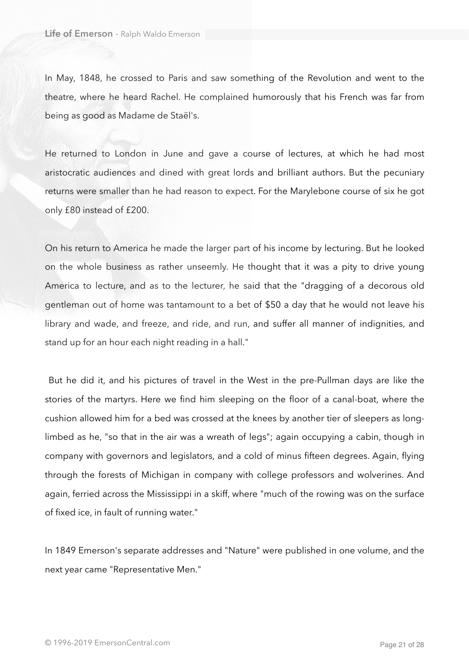In May, 1848, he crossed to Paris and saw something of the Revolution and went to the theatre, where he heard Rachel. He complained humorously that his French was far from being as good as Madame de Staël's.

He returned to London in June and gave a course of lectures, at which he had most aristocratic audiences and dined with great lords and brilliant authors. But the pecuniary returns were smaller than he had reason to expect. For the Marylebone course of six he got only £80 instead of £200.

On his return to America he made the larger part of his income by lecturing. But he looked on the whole business as rather unseemly. He thought that it was a pity to drive young America to lecture, and as to the lecturer, he said that the "dragging of a decorous old gentleman out of home was tantamount to a bet of \$50 a day that he would not leave his library and wade, and freeze, and ride, and run, and suffer all manner of indignities, and stand up for an hour each night reading in a hall."

 But he did it, and his pictures of travel in the West in the pre-Pullman days are like the stories of the martyrs. Here we find him sleeping on the floor of a canal-boat, where the cushion allowed him for a bed was crossed at the knees by another tier of sleepers as longlimbed as he, "so that in the air was a wreath of legs"; again occupying a cabin, though in company with governors and legislators, and a cold of minus fifteen degrees. Again, flying through the forests of Michigan in company with college professors and wolverines. And again, ferried across the Mississippi in a skiff, where "much of the rowing was on the surface of fixed ice, in fault of running water."

In 1849 Emerson's separate addresses and "Nature" were published in one volume, and the next year came "Representative Men."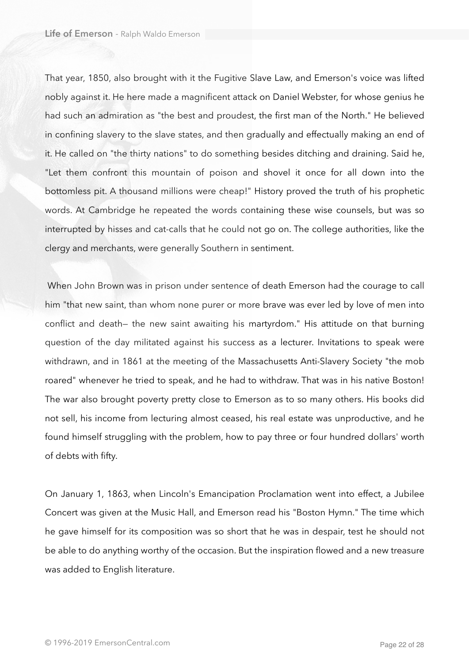That year, 1850, also brought with it the Fugitive Slave Law, and Emerson's voice was lifted nobly against it. He here made a magnificent attack on Daniel Webster, for whose genius he had such an admiration as "the best and proudest, the first man of the North." He believed in confining slavery to the slave states, and then gradually and effectually making an end of it. He called on "the thirty nations" to do something besides ditching and draining. Said he, "Let them confront this mountain of poison and shovel it once for all down into the bottomless pit. A thousand millions were cheap!" History proved the truth of his prophetic words. At Cambridge he repeated the words containing these wise counsels, but was so interrupted by hisses and cat-calls that he could not go on. The college authorities, like the clergy and merchants, were generally Southern in sentiment.

 When John Brown was in prison under sentence of death Emerson had the courage to call him "that new saint, than whom none purer or more brave was ever led by love of men into conflict and death— the new saint awaiting his martyrdom." His attitude on that burning question of the day militated against his success as a lecturer. Invitations to speak were withdrawn, and in 1861 at the meeting of the Massachusetts Anti-Slavery Society "the mob roared" whenever he tried to speak, and he had to withdraw. That was in his native Boston! The war also brought poverty pretty close to Emerson as to so many others. His books did not sell, his income from lecturing almost ceased, his real estate was unproductive, and he found himself struggling with the problem, how to pay three or four hundred dollars' worth of debts with fifty.

On January 1, 1863, when Lincoln's Emancipation Proclamation went into effect, a Jubilee Concert was given at the Music Hall, and Emerson read his "Boston Hymn." The time which he gave himself for its composition was so short that he was in despair, test he should not be able to do anything worthy of the occasion. But the inspiration flowed and a new treasure was added to English literature.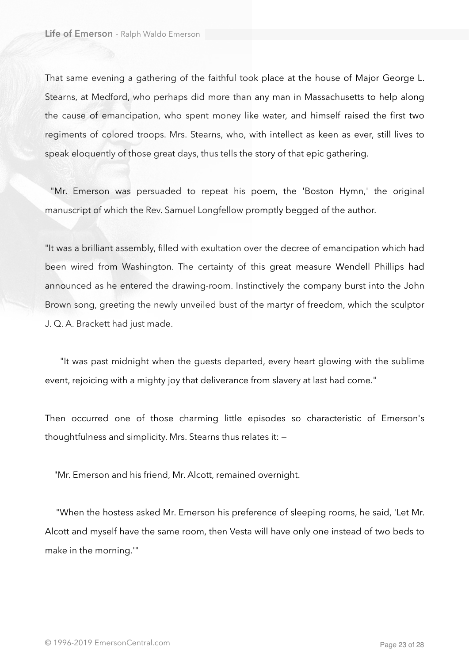That same evening a gathering of the faithful took place at the house of Major George L. Stearns, at Medford, who perhaps did more than any man in Massachusetts to help along the cause of emancipation, who spent money like water, and himself raised the first two regiments of colored troops. Mrs. Stearns, who, with intellect as keen as ever, still lives to speak eloquently of those great days, thus tells the story of that epic gathering.

 "Mr. Emerson was persuaded to repeat his poem, the 'Boston Hymn,' the original manuscript of which the Rev. Samuel Longfellow promptly begged of the author.

"It was a brilliant assembly, filled with exultation over the decree of emancipation which had been wired from Washington. The certainty of this great measure Wendell Phillips had announced as he entered the drawing-room. Instinctively the company burst into the John Brown song, greeting the newly unveiled bust of the martyr of freedom, which the sculptor J. Q. A. Brackett had just made.

 "It was past midnight when the guests departed, every heart glowing with the sublime event, rejoicing with a mighty joy that deliverance from slavery at last had come."

Then occurred one of those charming little episodes so characteristic of Emerson's thoughtfulness and simplicity. Mrs. Stearns thus relates it: —

"Mr. Emerson and his friend, Mr. Alcott, remained overnight.

 "When the hostess asked Mr. Emerson his preference of sleeping rooms, he said, 'Let Mr. Alcott and myself have the same room, then Vesta will have only one instead of two beds to make in the morning.'"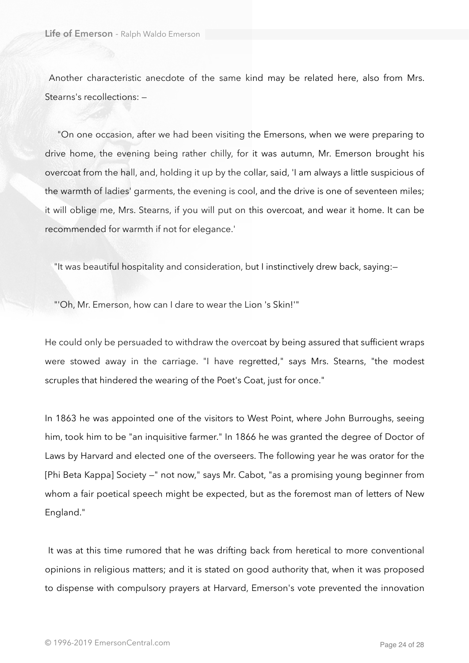Another characteristic anecdote of the same kind may be related here, also from Mrs. Stearns's recollections: —

 "On one occasion, after we had been visiting the Emersons, when we were preparing to drive home, the evening being rather chilly, for it was autumn, Mr. Emerson brought his overcoat from the hall, and, holding it up by the collar, said, 'I am always a little suspicious of the warmth of ladies' garments, the evening is cool, and the drive is one of seventeen miles; it will oblige me, Mrs. Stearns, if you will put on this overcoat, and wear it home. It can be recommended for warmth if not for elegance.'

"It was beautiful hospitality and consideration, but I instinctively drew back, saying:—

"'Oh, Mr. Emerson, how can I dare to wear the Lion 's Skin!'"

He could only be persuaded to withdraw the overcoat by being assured that sufficient wraps were stowed away in the carriage. "I have regretted," says Mrs. Stearns, "the modest scruples that hindered the wearing of the Poet's Coat, just for once."

In 1863 he was appointed one of the visitors to West Point, where John Burroughs, seeing him, took him to be "an inquisitive farmer." In 1866 he was granted the degree of Doctor of Laws by Harvard and elected one of the overseers. The following year he was orator for the [Phi Beta Kappa] Society —" not now," says Mr. Cabot, "as a promising young beginner from whom a fair poetical speech might be expected, but as the foremost man of letters of New England."

 It was at this time rumored that he was drifting back from heretical to more conventional opinions in religious matters; and it is stated on good authority that, when it was proposed to dispense with compulsory prayers at Harvard, Emerson's vote prevented the innovation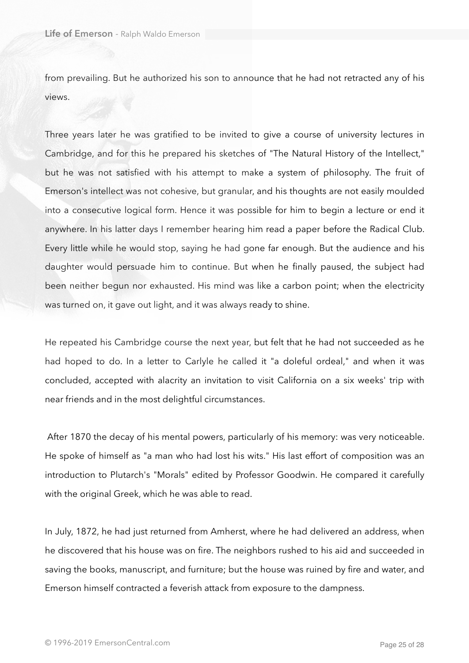from prevailing. But he authorized his son to announce that he had not retracted any of his views.

Three years later he was gratified to be invited to give a course of university lectures in Cambridge, and for this he prepared his sketches of "The Natural History of the Intellect," but he was not satisfied with his attempt to make a system of philosophy. The fruit of Emerson's intellect was not cohesive, but granular, and his thoughts are not easily moulded into a consecutive logical form. Hence it was possible for him to begin a lecture or end it anywhere. In his latter days I remember hearing him read a paper before the Radical Club. Every little while he would stop, saying he had gone far enough. But the audience and his daughter would persuade him to continue. But when he finally paused, the subject had been neither begun nor exhausted. His mind was like a carbon point; when the electricity was turned on, it gave out light, and it was always ready to shine.

He repeated his Cambridge course the next year, but felt that he had not succeeded as he had hoped to do. In a letter to Carlyle he called it "a doleful ordeal," and when it was concluded, accepted with alacrity an invitation to visit California on a six weeks' trip with near friends and in the most delightful circumstances.

 After 1870 the decay of his mental powers, particularly of his memory: was very noticeable. He spoke of himself as "a man who had lost his wits." His last effort of composition was an introduction to Plutarch's "Morals" edited by Professor Goodwin. He compared it carefully with the original Greek, which he was able to read.

In July, 1872, he had just returned from Amherst, where he had delivered an address, when he discovered that his house was on fire. The neighbors rushed to his aid and succeeded in saving the books, manuscript, and furniture; but the house was ruined by fire and water, and Emerson himself contracted a feverish attack from exposure to the dampness.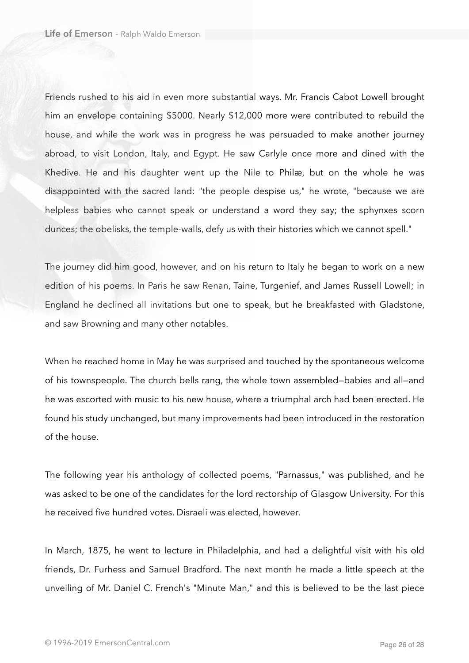Friends rushed to his aid in even more substantial ways. Mr. Francis Cabot Lowell brought him an envelope containing \$5000. Nearly \$12,000 more were contributed to rebuild the house, and while the work was in progress he was persuaded to make another journey abroad, to visit London, Italy, and Egypt. He saw Carlyle once more and dined with the Khedive. He and his daughter went up the Nile to Philæ, but on the whole he was disappointed with the sacred land: "the people despise us," he wrote, "because we are helpless babies who cannot speak or understand a word they say; the sphynxes scorn dunces; the obelisks, the temple-walls, defy us with their histories which we cannot spell."

The journey did him good, however, and on his return to Italy he began to work on a new edition of his poems. In Paris he saw Renan, Taine, Turgenief, and James Russell Lowell; in England he declined all invitations but one to speak, but he breakfasted with Gladstone, and saw Browning and many other notables.

When he reached home in May he was surprised and touched by the spontaneous welcome of his townspeople. The church bells rang, the whole town assembled—babies and all—and he was escorted with music to his new house, where a triumphal arch had been erected. He found his study unchanged, but many improvements had been introduced in the restoration of the house.

The following year his anthology of collected poems, "Parnassus," was published, and he was asked to be one of the candidates for the lord rectorship of Glasgow University. For this he received five hundred votes. Disraeli was elected, however.

In March, 1875, he went to lecture in Philadelphia, and had a delightful visit with his old friends, Dr. Furhess and Samuel Bradford. The next month he made a little speech at the unveiling of Mr. Daniel C. French's "Minute Man," and this is believed to be the last piece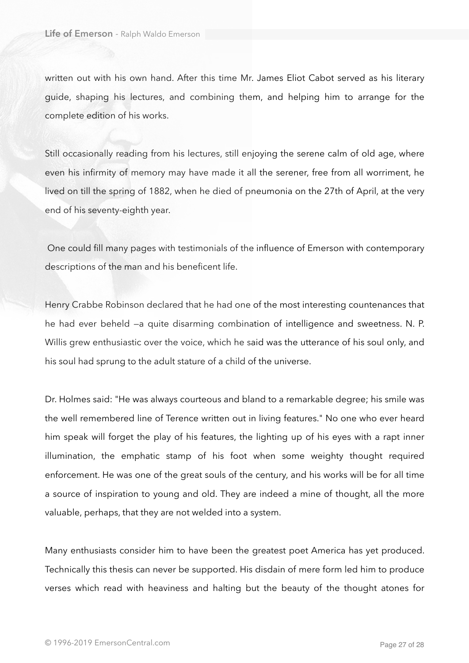written out with his own hand. After this time Mr. James Eliot Cabot served as his literary guide, shaping his lectures, and combining them, and helping him to arrange for the complete edition of his works.

Still occasionally reading from his lectures, still enjoying the serene calm of old age, where even his infirmity of memory may have made it all the serener, free from all worriment, he lived on till the spring of 1882, when he died of pneumonia on the 27th of April, at the very end of his seventy-eighth year.

 One could fill many pages with testimonials of the influence of Emerson with contemporary descriptions of the man and his beneficent life.

Henry Crabbe Robinson declared that he had one of the most interesting countenances that he had ever beheld —a quite disarming combination of intelligence and sweetness. N. P. Willis grew enthusiastic over the voice, which he said was the utterance of his soul only, and his soul had sprung to the adult stature of a child of the universe.

Dr. Holmes said: "He was always courteous and bland to a remarkable degree; his smile was the well remembered line of Terence written out in living features." No one who ever heard him speak will forget the play of his features, the lighting up of his eyes with a rapt inner illumination, the emphatic stamp of his foot when some weighty thought required enforcement. He was one of the great souls of the century, and his works will be for all time a source of inspiration to young and old. They are indeed a mine of thought, all the more valuable, perhaps, that they are not welded into a system.

Many enthusiasts consider him to have been the greatest poet America has yet produced. Technically this thesis can never be supported. His disdain of mere form led him to produce verses which read with heaviness and halting but the beauty of the thought atones for